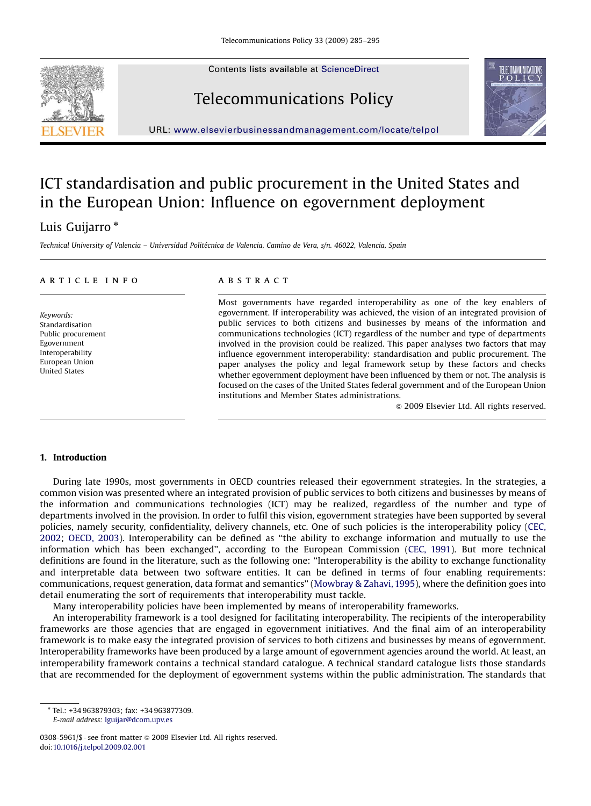Contents lists available at [ScienceDirect](www.sciencedirect.com/science/journal/jtpo)





Telecommunications Policy

URL: <www.elsevierbusinessandmanagement.com/locate/telpol>

# ICT standardisation and public procurement in the United States and in the European Union: Influence on egovernment deployment

## Luis Guijarro \*

Technical University of Valencia – Universidad Politécnica de Valencia, Camino de Vera, s/n. 46022, Valencia, Spain

### article info

Keywords: Standardisation Public procurement Egovernment Interoperability European Union United States

## **ABSTRACT**

Most governments have regarded interoperability as one of the key enablers of egovernment. If interoperability was achieved, the vision of an integrated provision of public services to both citizens and businesses by means of the information and communications technologies (ICT) regardless of the number and type of departments involved in the provision could be realized. This paper analyses two factors that may influence egovernment interoperability: standardisation and public procurement. The paper analyses the policy and legal framework setup by these factors and checks whether egovernment deployment have been influenced by them or not. The analysis is focused on the cases of the United States federal government and of the European Union institutions and Member States administrations.

 $\odot$  2009 Elsevier Ltd. All rights reserved.

#### 1. Introduction

During late 1990s, most governments in OECD countries released their egovernment strategies. In the strategies, a common vision was presented where an integrated provision of public services to both citizens and businesses by means of the information and communications technologies (ICT) may be realized, regardless of the number and type of departments involved in the provision. In order to fulfil this vision, egovernment strategies have been supported by several policies, namely security, confidentiality, delivery channels, etc. One of such policies is the interoperability policy ([CEC,](#page--1-0) [2002](#page--1-0); [OECD, 2003\)](#page--1-0). Interoperability can be defined as ''the ability to exchange information and mutually to use the information which has been exchanged'', according to the European Commission [\(CEC, 1991\)](#page--1-0). But more technical definitions are found in the literature, such as the following one: ''Interoperability is the ability to exchange functionality and interpretable data between two software entities. It can be defined in terms of four enabling requirements: communications, request generation, data format and semantics'' [\(Mowbray & Zahavi, 1995\)](#page--1-0), where the definition goes into detail enumerating the sort of requirements that interoperability must tackle.

Many interoperability policies have been implemented by means of interoperability frameworks.

An interoperability framework is a tool designed for facilitating interoperability. The recipients of the interoperability frameworks are those agencies that are engaged in egovernment initiatives. And the final aim of an interoperability framework is to make easy the integrated provision of services to both citizens and businesses by means of egovernment. Interoperability frameworks have been produced by a large amount of egovernment agencies around the world. At least, an interoperability framework contains a technical standard catalogue. A technical standard catalogue lists those standards that are recommended for the deployment of egovernment systems within the public administration. The standards that

- Tel.: +34 963879303; fax: +34 963877309. E-mail address: [lguijar@dcom.upv.es](mailto:lguijar@dcom.upv.es)

<sup>0308-5961/\$ -</sup> see front matter  $\circ$  2009 Elsevier Ltd. All rights reserved. doi:[10.1016/j.telpol.2009.02.001](dx.doi.org/10.1016/j.telpol.2009.02.001)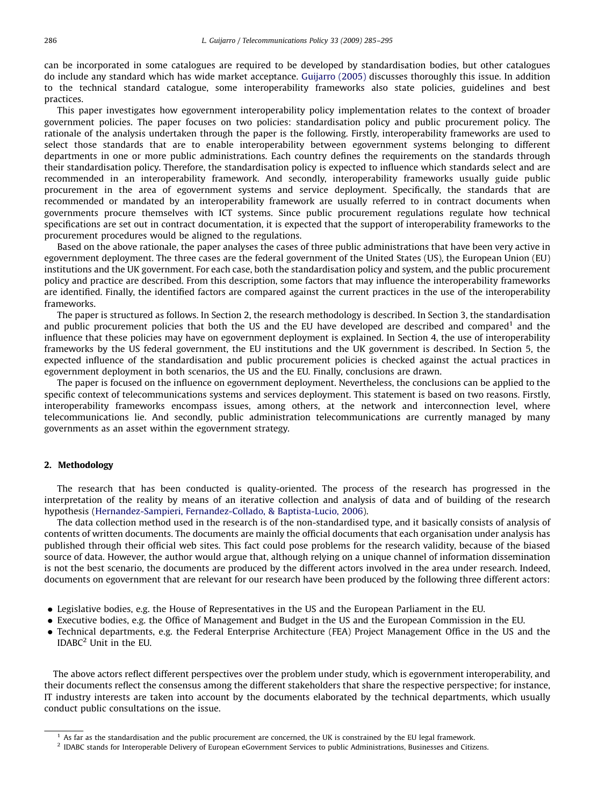can be incorporated in some catalogues are required to be developed by standardisation bodies, but other catalogues do include any standard which has wide market acceptance. [Guijarro \(2005\)](#page--1-0) discusses thoroughly this issue. In addition to the technical standard catalogue, some interoperability frameworks also state policies, guidelines and best practices.

This paper investigates how egovernment interoperability policy implementation relates to the context of broader government policies. The paper focuses on two policies: standardisation policy and public procurement policy. The rationale of the analysis undertaken through the paper is the following. Firstly, interoperability frameworks are used to select those standards that are to enable interoperability between egovernment systems belonging to different departments in one or more public administrations. Each country defines the requirements on the standards through their standardisation policy. Therefore, the standardisation policy is expected to influence which standards select and are recommended in an interoperability framework. And secondly, interoperability frameworks usually guide public procurement in the area of egovernment systems and service deployment. Specifically, the standards that are recommended or mandated by an interoperability framework are usually referred to in contract documents when governments procure themselves with ICT systems. Since public procurement regulations regulate how technical specifications are set out in contract documentation, it is expected that the support of interoperability frameworks to the procurement procedures would be aligned to the regulations.

Based on the above rationale, the paper analyses the cases of three public administrations that have been very active in egovernment deployment. The three cases are the federal government of the United States (US), the European Union (EU) institutions and the UK government. For each case, both the standardisation policy and system, and the public procurement policy and practice are described. From this description, some factors that may influence the interoperability frameworks are identified. Finally, the identified factors are compared against the current practices in the use of the interoperability frameworks.

The paper is structured as follows. In Section 2, the research methodology is described. In Section 3, the standardisation and public procurement policies that both the US and the EU have developed are described and compared<sup>1</sup> and the influence that these policies may have on egovernment deployment is explained. In Section 4, the use of interoperability frameworks by the US federal government, the EU institutions and the UK government is described. In Section 5, the expected influence of the standardisation and public procurement policies is checked against the actual practices in egovernment deployment in both scenarios, the US and the EU. Finally, conclusions are drawn.

The paper is focused on the influence on egovernment deployment. Nevertheless, the conclusions can be applied to the specific context of telecommunications systems and services deployment. This statement is based on two reasons. Firstly, interoperability frameworks encompass issues, among others, at the network and interconnection level, where telecommunications lie. And secondly, public administration telecommunications are currently managed by many governments as an asset within the egovernment strategy.

#### 2. Methodology

The research that has been conducted is quality-oriented. The process of the research has progressed in the interpretation of the reality by means of an iterative collection and analysis of data and of building of the research hypothesis ([Hernandez-Sampieri, Fernandez-Collado,](#page--1-0) [& Baptista-Lucio, 2006\)](#page--1-0).

The data collection method used in the research is of the non-standardised type, and it basically consists of analysis of contents of written documents. The documents are mainly the official documents that each organisation under analysis has published through their official web sites. This fact could pose problems for the research validity, because of the biased source of data. However, the author would argue that, although relying on a unique channel of information dissemination is not the best scenario, the documents are produced by the different actors involved in the area under research. Indeed, documents on egovernment that are relevant for our research have been produced by the following three different actors:

- Legislative bodies, e.g. the House of Representatives in the US and the European Parliament in the EU.
- Executive bodies, e.g. the Office of Management and Budget in the US and the European Commission in the EU.
- Technical departments, e.g. the Federal Enterprise Architecture (FEA) Project Management Office in the US and the  $IDABC<sup>2</sup>$  Unit in the EU.

The above actors reflect different perspectives over the problem under study, which is egovernment interoperability, and their documents reflect the consensus among the different stakeholders that share the respective perspective; for instance, IT industry interests are taken into account by the documents elaborated by the technical departments, which usually conduct public consultations on the issue.

 $<sup>1</sup>$  As far as the standardisation and the public procurement are concerned, the UK is constrained by the EU legal framework.</sup>

<sup>2</sup> IDABC stands for Interoperable Delivery of European eGovernment Services to public Administrations, Businesses and Citizens.